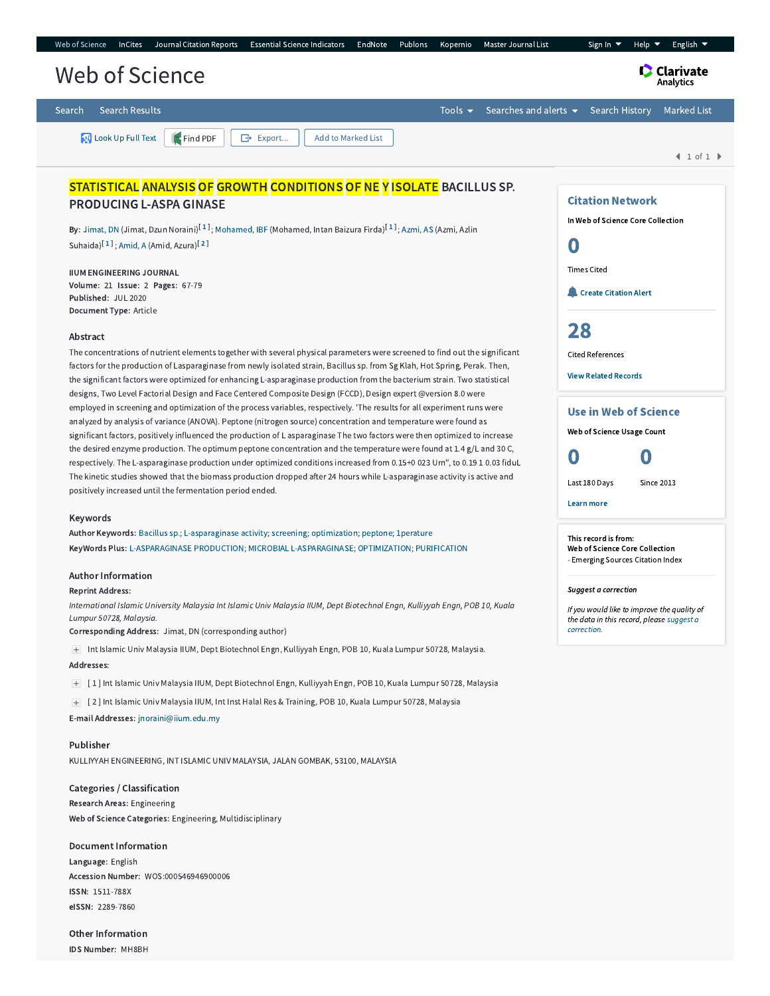| Web of Science |                       | InCites Journal Citation Reports | Essential Science Indicators EndNote Publons Kopernio        |  | Master Journal List                                          | Help $\blacktriangledown$<br>Sign In $\blacktriangledown$ | English $\blacktriangledown$ |
|----------------|-----------------------|----------------------------------|--------------------------------------------------------------|--|--------------------------------------------------------------|-----------------------------------------------------------|------------------------------|
| Web of Science |                       |                                  |                                                              |  |                                                              |                                                           | <b>Clarivate</b>             |
| Search         | <b>Search Results</b> |                                  |                                                              |  | Tools $\bullet$ Searches and alerts $\bullet$ Search History |                                                           | <b>Marked List</b>           |
|                |                       |                                  | Look Up Full Text   Find PDF   G Export   Add to Marked List |  |                                                              |                                                           |                              |

 $1 of 1$ 

Citation Network In Web of Science Core Collection

**Create [Citation](javascript:csiovl() Alert** 

Use in Web of Science Web of Science Usage Count 0 0

Last 180 Days Since 2013

This record is from: Web of Science Core Collection - Emerging Sources Citation Index

Learn more

Suggest a correction

[correction.](javascript:;)

If you would like to improve the quality of the data in this record, please suggest a

0

Times Cited

[28](http://apps.webofknowledge.com.ezproxy.um.edu.my/InterService.do?product=WOS&toPID=WOS&action=AllCitationService&isLinks=yes&highlighted_tab=WOS&last_prod=WOS&fromPID=WOS&returnLink=http%3a%2f%2fapps.webofknowledge.com%2ffull_record.do%3fhighlighted_tab%3dWOS%26last_prod%3dWOS%26search_mode%3dGeneralSearch%26qid%3d15%26log_event%3dyes%26product%3dWOS%26SID%3dF4lkuZ2YwGKYUH175q1%26viewType%3dfullRecord%26doc%3d1%26page%3d1&srcDesc=RET2WOS&srcAlt=Back+to+Web+of+Science&UT=WOS:000546946900006&search_mode=CitedRefList&SID=F4lkuZ2YwGKYUH175q1&parentProduct=WOS&parentQid=15&parentDoc=1&recid=WOS:000546946900006&PREC_REFCOUNT=28&fromRightPanel=true)

Cited References View Related [Records](http://apps.webofknowledge.com.ezproxy.um.edu.my/InterService.do?product=WOS&toPID=WOS&action=AllCitationService&isLinks=yes&highlighted_tab=WOS&last_prod=WOS&fromPID=WOS&returnLink=http%3a%2f%2fapps.webofknowledge.com%2ffull_record.do%3fhighlighted_tab%3dWOS%26last_prod%3dWOS%26search_mode%3dGeneralSearch%26qid%3d15%26log_event%3dyes%26product%3dWOS%26SID%3dF4lkuZ2YwGKYUH175q1%26viewType%3dfullRecord%26doc%3d1%26page%3d1&srcDesc=RET2WOS&srcAlt=Back+to+Web+of+Science&UT=WOS:000546946900006&parentProduct=WOS&parentQid=15&search_mode=RelatedRecords&SID=F4lkuZ2YwGKYUH175q1&parentDoc=1)

# STATISTICAL ANALYSIS OF GROWTH CONDITIONS OF NE Y ISOLATE BACILLUS SP. PRODUCING L-ASPA GINASE

**By:** [Jimat,](http://apps.webofknowledge.com.ezproxy.um.edu.my/OutboundService.do?SID=F4lkuZ2YwGKYUH175q1&mode=rrcAuthorRecordService&action=go&product=WOS&lang=en_US&daisIds=3584811) DN (Jimat, Dzun Noraini)<sup>[[1](javascript:sup_focus()]</sup>; [Mohamed,](http://apps.webofknowledge.com.ezproxy.um.edu.my/OutboundService.do?SID=F4lkuZ2YwGKYUH175q1&mode=rrcAuthorRecordService&action=go&product=WOS&lang=en_US&daisIds=16459167) IBF (Mohamed, Intan Baizura Firda)<sup>[1]</sup>; [Azmi,](http://apps.webofknowledge.com.ezproxy.um.edu.my/OutboundService.do?SID=F4lkuZ2YwGKYUH175q1&mode=rrcAuthorRecordService&action=go&product=WOS&lang=en_US&daisIds=3346731) AS (Azmi, Azlin Suhaida)<sup>[[1](javascript:sup_focus()]</sup>; [Amid,](http://apps.webofknowledge.com.ezproxy.um.edu.my/OutboundService.do?SID=F4lkuZ2YwGKYUH175q1&mode=rrcAuthorRecordService&action=go&product=WOS&lang=en_US&daisIds=1221947) A (Amid, Azura)<sup>[[2](javascript:sup_focus()]</sup>

IIUM ENGINEERING JOURNAL Volume: 21 Issue: 2 Pages: 67-79 Published: JUL 2020 Document Type: Article

### Abstract

The concentrations of nutrient elements together with several physical parameters were screened to find out the significant factors for the production of Lasparaginase from newly isolated strain, Bacillus sp. from Sg Klah, Hot Spring, Perak. Then, the significant factors were optimized for enhancing L-asparaginase production from the bacterium strain. Two statistical designs, Two Level Factorial Design and Face Centered Composite Design (FCCD), Design expert @version 8.0 were employed in screening and optimization of the process variables, respectively. 'The results for all experiment runs were analyzed by analysis of variance (ANOVA). Peptone (nitrogen source) concentration and temperature were found as significant factors, positively influenced the production of L asparaginase The two factors were then optimized to increase the desired enzyme production. The optimum peptone concentration and the temperature were found at 1.4 g/L and 30 C, respectively. The L-asparaginase production under optimized conditions increased from 0.15+0 023 Urn", to 0.19 1 0.03 fiduL The kinetic studies showed that the biomass production dropped after 24 hours while L-asparaginase activity is active and positively increased until the fermentation period ended.

#### Keywords

Author Keywords: [Bacillus](http://apps.webofknowledge.com.ezproxy.um.edu.my/OneClickSearch.do?product=WOS&search_mode=OneClickSearch&excludeEventConfig=ExcludeIfFromFullRecPage&colName=WOS&SID=F4lkuZ2YwGKYUH175q1&field=TS&value=Bacillus+sp.&uncondQuotes=true) sp.; [L-asparaginase](http://apps.webofknowledge.com.ezproxy.um.edu.my/OneClickSearch.do?product=WOS&search_mode=OneClickSearch&excludeEventConfig=ExcludeIfFromFullRecPage&colName=WOS&SID=F4lkuZ2YwGKYUH175q1&field=TS&value=L-asparaginase+activity&uncondQuotes=true) activity; [screening](http://apps.webofknowledge.com.ezproxy.um.edu.my/OneClickSearch.do?product=WOS&search_mode=OneClickSearch&excludeEventConfig=ExcludeIfFromFullRecPage&colName=WOS&SID=F4lkuZ2YwGKYUH175q1&field=TS&value=screening&uncondQuotes=true); [optimization;](http://apps.webofknowledge.com.ezproxy.um.edu.my/OneClickSearch.do?product=WOS&search_mode=OneClickSearch&excludeEventConfig=ExcludeIfFromFullRecPage&colName=WOS&SID=F4lkuZ2YwGKYUH175q1&field=TS&value=optimization&uncondQuotes=true) [peptone](http://apps.webofknowledge.com.ezproxy.um.edu.my/OneClickSearch.do?product=WOS&search_mode=OneClickSearch&excludeEventConfig=ExcludeIfFromFullRecPage&colName=WOS&SID=F4lkuZ2YwGKYUH175q1&field=TS&value=peptone&uncondQuotes=true); [1perature](http://apps.webofknowledge.com.ezproxy.um.edu.my/OneClickSearch.do?product=WOS&search_mode=OneClickSearch&excludeEventConfig=ExcludeIfFromFullRecPage&colName=WOS&SID=F4lkuZ2YwGKYUH175q1&field=TS&value=1perature&uncondQuotes=true) KeyWords Plus: [L-ASPARAGINASE](http://apps.webofknowledge.com.ezproxy.um.edu.my/OneClickSearch.do?product=WOS&search_mode=OneClickSearch&excludeEventConfig=ExcludeIfFromFullRecPage&colName=WOS&SID=F4lkuZ2YwGKYUH175q1&field=TS&value=L-ASPARAGINASE+PRODUCTION&uncondQuotes=true) PRODUCTION; MICROBIAL [L-ASPARAGINASE](http://apps.webofknowledge.com.ezproxy.um.edu.my/OneClickSearch.do?product=WOS&search_mode=OneClickSearch&excludeEventConfig=ExcludeIfFromFullRecPage&colName=WOS&SID=F4lkuZ2YwGKYUH175q1&field=TS&value=MICROBIAL+L-ASPARAGINASE&uncondQuotes=true); [OPTIMIZATION;](http://apps.webofknowledge.com.ezproxy.um.edu.my/OneClickSearch.do?product=WOS&search_mode=OneClickSearch&excludeEventConfig=ExcludeIfFromFullRecPage&colName=WOS&SID=F4lkuZ2YwGKYUH175q1&field=TS&value=OPTIMIZATION&uncondQuotes=true) [PURIFICATION](http://apps.webofknowledge.com.ezproxy.um.edu.my/OneClickSearch.do?product=WOS&search_mode=OneClickSearch&excludeEventConfig=ExcludeIfFromFullRecPage&colName=WOS&SID=F4lkuZ2YwGKYUH175q1&field=TS&value=PURIFICATION&uncondQuotes=true)

#### Author Information

#### Reprint Address:

International Islamic University Malaysia Int Islamic Univ Malaysia IIUM, Dept Biotechnol Engn, Kulliyyah Engn, POB 10, Kuala Lumpur 50728, Malaysia.

Corresponding Address: Jimat, DN (corresponding author)

Int Islamic Univ Malaysia IIUM, Dept Biotechnol Engn, Kulliyyah Engn, POB 10, Kuala Lumpur 50728, Malaysia.

#### Addresses:

[ 1 ] Int Islamic Univ Malaysia IIUM, Dept Biotechnol Engn, Kulliyyah Engn, POB 10, Kuala Lumpur 50728, Malaysia

[ 2 ] Int Islamic Univ Malaysia IIUM, Int Inst Halal Res & Training, POB 10, Kuala Lumpur 50728, Malaysia

E-mail Addresses: [jnoraini@iium.edu.my](mailto:jnoraini@iium.edu.my)

Publisher

KULLIYYAH ENGINEERING, INT ISLAMIC UNIV MALAYSIA, JALAN GOMBAK, 53100, MALAYSIA

Categories / Classification Research Areas: Engineering Web of Science Categories: Engineering, Multidisciplinary

## Document Information

Language: English Accession Number: WOS:000546946900006 ISSN: 1511-788X eISSN: 2289-7860

Other Information IDS Number: MH8BH